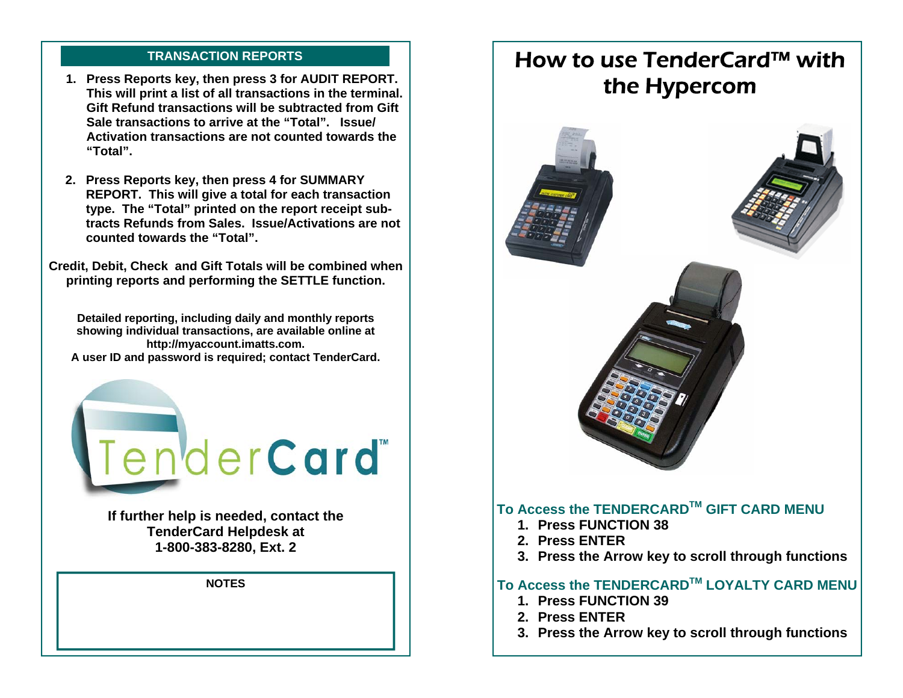# **TRANSACTION REPORTS**

- **1. Press Reports key, then press 3 for AUDIT REPORT. This will print a list of all transactions in the terminal. Gift Refund transactions will be subtracted from Gift Sale transactions to arrive at the "Total". Issue/Activation transactions are not counted towards the "Total".**
- **2. Press Reports key, then press 4 for SUMMARY REPORT. This will give a total for each transaction type. The "Total" printed on the report receipt subtracts Refunds from Sales. Issue/Activations are not counted towards the "Total".**

**Credit, Debit, Check and Gift Totals will be combined when printing reports and performing the SETTLE function.** 

**Detailed reporting, including daily and monthly reports showing individual transactions, are available online at http://myaccount.imatts.com. A user ID and password is required; contact TenderCard.** 



**If further help is needed, contact the TenderCard Helpdesk at 1-800-383-8280, Ext. 2** 

**NOTES** 

# How to use TenderCard™ with the Hypercom



- **1. Press FUNCTION 39**
- **2. Press ENTER**
- **3. Press the Arrow key to scroll through functions**